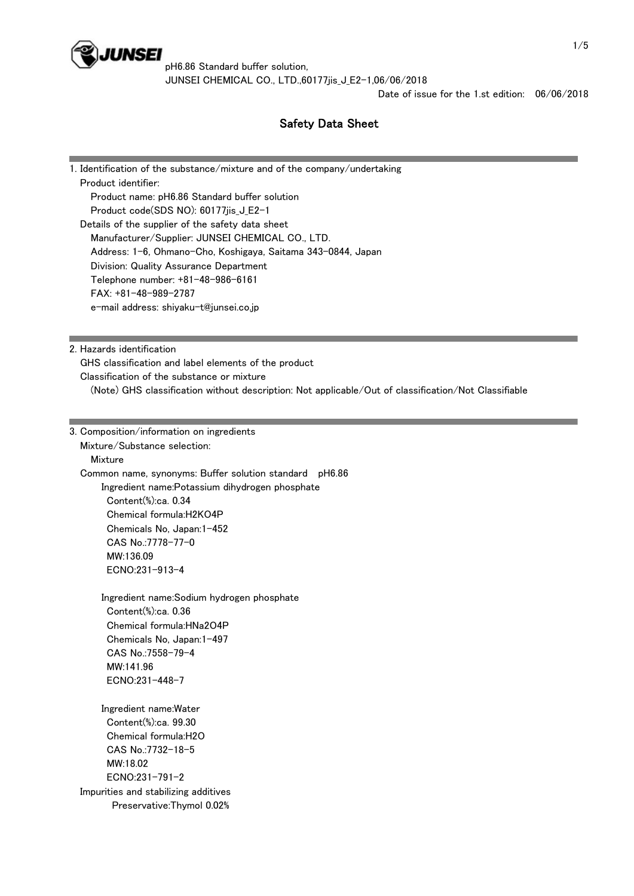

pH6.86 Standard buffer solution, JUNSEI CHEMICAL CO., LTD.,60177jis\_J\_E2-1,06/06/2018

Date of issue for the 1.st edition: 06/06/2018

# Safety Data Sheet

1. Identification of the substance/mixture and of the company/undertaking Product identifier: Product name: pH6.86 Standard buffer solution Product code(SDS NO): 60177ijs J E2-1 Details of the supplier of the safety data sheet Manufacturer/Supplier: JUNSEI CHEMICAL CO., LTD. Address: 1-6, Ohmano-Cho, Koshigaya, Saitama 343-0844, Japan Division: Quality Assurance Department Telephone number: +81-48-986-6161 FAX: +81-48-989-2787 e-mail address: shiyaku-t@junsei.co.jp

2. Hazards identification

GHS classification and label elements of the product

Classification of the substance or mixture

(Note) GHS classification without description: Not applicable/Out of classification/Not Classifiable

3. Composition/information on ingredients Mixture/Substance selection: **Mixture**  Common name, synonyms: Buffer solution standard pH6.86 Ingredient name:Potassium dihydrogen phosphate Content(%):ca. 0.34 Chemical formula:H2KO4P Chemicals No, Japan:1-452 CAS No.:7778-77-0 MW:136.09 ECNO:231-913-4 Ingredient name:Sodium hydrogen phosphate Content(%):ca. 0.36 Chemical formula:HNa2O4P Chemicals No, Japan:1-497 CAS No.:7558-79-4 MW:141.96 ECNO:231-448-7 Ingredient name:Water Content(%):ca. 99.30 Chemical formula:H2O CAS No.:7732-18-5 MW:18.02 ECNO:231-791-2 Impurities and stabilizing additives Preservative:Thymol 0.02%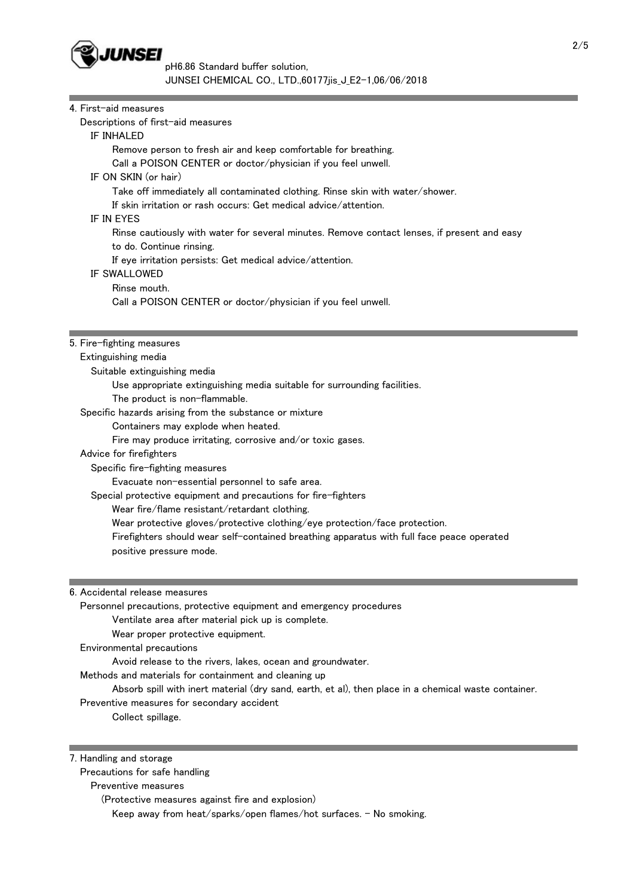

| 4. First-aid measures                                                                                                                                                                                                                                                                                                     |  |  |  |  |                                                                                             |  |  |  |  |
|---------------------------------------------------------------------------------------------------------------------------------------------------------------------------------------------------------------------------------------------------------------------------------------------------------------------------|--|--|--|--|---------------------------------------------------------------------------------------------|--|--|--|--|
| Descriptions of first-aid measures                                                                                                                                                                                                                                                                                        |  |  |  |  |                                                                                             |  |  |  |  |
| IF INHALED                                                                                                                                                                                                                                                                                                                |  |  |  |  |                                                                                             |  |  |  |  |
| Remove person to fresh air and keep comfortable for breathing.<br>Call a POISON CENTER or doctor/physician if you feel unwell.<br>IF ON SKIN (or hair)<br>Take off immediately all contaminated clothing. Rinse skin with water/shower.<br>If skin irritation or rash occurs: Get medical advice/attention.<br>IF IN EYES |  |  |  |  |                                                                                             |  |  |  |  |
|                                                                                                                                                                                                                                                                                                                           |  |  |  |  | Rinse cautiously with water for several minutes. Remove contact lenses, if present and easy |  |  |  |  |
|                                                                                                                                                                                                                                                                                                                           |  |  |  |  | to do. Continue rinsing.                                                                    |  |  |  |  |
|                                                                                                                                                                                                                                                                                                                           |  |  |  |  | If eye irritation persists: Get medical advice/attention.                                   |  |  |  |  |
|                                                                                                                                                                                                                                                                                                                           |  |  |  |  | IF SWALLOWED                                                                                |  |  |  |  |
|                                                                                                                                                                                                                                                                                                                           |  |  |  |  | Rinse mouth.                                                                                |  |  |  |  |
| Call a POISON CENTER or doctor/physician if you feel unwell.                                                                                                                                                                                                                                                              |  |  |  |  |                                                                                             |  |  |  |  |
|                                                                                                                                                                                                                                                                                                                           |  |  |  |  |                                                                                             |  |  |  |  |
| 5. Fire-fighting measures                                                                                                                                                                                                                                                                                                 |  |  |  |  |                                                                                             |  |  |  |  |
| Extinguishing media                                                                                                                                                                                                                                                                                                       |  |  |  |  |                                                                                             |  |  |  |  |
| Suitable extinguishing media                                                                                                                                                                                                                                                                                              |  |  |  |  |                                                                                             |  |  |  |  |
| Use appropriate extinguishing media suitable for surrounding facilities.                                                                                                                                                                                                                                                  |  |  |  |  |                                                                                             |  |  |  |  |
| The product is non-flammable.                                                                                                                                                                                                                                                                                             |  |  |  |  |                                                                                             |  |  |  |  |
| Specific hazards arising from the substance or mixture                                                                                                                                                                                                                                                                    |  |  |  |  |                                                                                             |  |  |  |  |
| Containers may explode when heated.                                                                                                                                                                                                                                                                                       |  |  |  |  |                                                                                             |  |  |  |  |
| Fire may produce irritating, corrosive and/or toxic gases.                                                                                                                                                                                                                                                                |  |  |  |  |                                                                                             |  |  |  |  |
| Advice for firefighters                                                                                                                                                                                                                                                                                                   |  |  |  |  |                                                                                             |  |  |  |  |
| Specific fire-fighting measures                                                                                                                                                                                                                                                                                           |  |  |  |  |                                                                                             |  |  |  |  |
| Evacuate non-essential personnel to safe area.                                                                                                                                                                                                                                                                            |  |  |  |  |                                                                                             |  |  |  |  |
| Special protective equipment and precautions for fire-fighters                                                                                                                                                                                                                                                            |  |  |  |  |                                                                                             |  |  |  |  |
| Wear fire/flame resistant/retardant clothing.                                                                                                                                                                                                                                                                             |  |  |  |  |                                                                                             |  |  |  |  |
| Wear protective gloves/protective clothing/eye protection/face protection.                                                                                                                                                                                                                                                |  |  |  |  |                                                                                             |  |  |  |  |
| Firefighters should wear self-contained breathing apparatus with full face peace operated                                                                                                                                                                                                                                 |  |  |  |  |                                                                                             |  |  |  |  |
| positive pressure mode.                                                                                                                                                                                                                                                                                                   |  |  |  |  |                                                                                             |  |  |  |  |
|                                                                                                                                                                                                                                                                                                                           |  |  |  |  |                                                                                             |  |  |  |  |
| 6. Accidental release measures                                                                                                                                                                                                                                                                                            |  |  |  |  |                                                                                             |  |  |  |  |
| Personnel precautions, protective equipment and emergency procedures                                                                                                                                                                                                                                                      |  |  |  |  |                                                                                             |  |  |  |  |
| Ventilate area after material pick up is complete.                                                                                                                                                                                                                                                                        |  |  |  |  |                                                                                             |  |  |  |  |
| Wear proper protective equipment.                                                                                                                                                                                                                                                                                         |  |  |  |  |                                                                                             |  |  |  |  |
| Environmental precautions                                                                                                                                                                                                                                                                                                 |  |  |  |  |                                                                                             |  |  |  |  |
| Avoid release to the rivers, lakes, ocean and groundwater.                                                                                                                                                                                                                                                                |  |  |  |  |                                                                                             |  |  |  |  |
| Methods and materials for containment and cleaning up                                                                                                                                                                                                                                                                     |  |  |  |  |                                                                                             |  |  |  |  |
| Absorb spill with inert material (dry sand, earth, et al), then place in a chemical waste container.                                                                                                                                                                                                                      |  |  |  |  |                                                                                             |  |  |  |  |

Preventive measures for secondary accident

Collect spillage.

|  | 7. Handling and storage |  |  |
|--|-------------------------|--|--|
|--|-------------------------|--|--|

Precautions for safe handling

Preventive measures

(Protective measures against fire and explosion)

Keep away from heat/sparks/open flames/hot surfaces. - No smoking.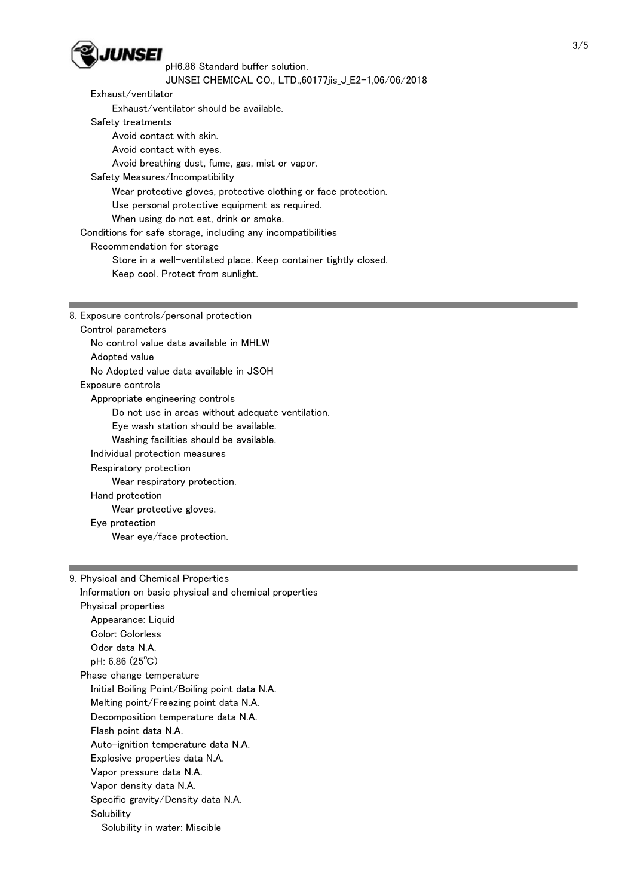

## pH6.86 Standard buffer solution, JUNSEI CHEMICAL CO., LTD.,60177jis\_J\_E2-1,06/06/2018

Exhaust/ventilator

Exhaust/ventilator should be available.

Safety treatments

Avoid contact with skin.

Avoid contact with eyes.

Avoid breathing dust, fume, gas, mist or vapor.

Safety Measures/Incompatibility

Wear protective gloves, protective clothing or face protection.

Use personal protective equipment as required.

When using do not eat, drink or smoke.

Conditions for safe storage, including any incompatibilities

Recommendation for storage

Store in a well-ventilated place. Keep container tightly closed.

Keep cool. Protect from sunlight.

8. Exposure controls/personal protection

 Control parameters No control value data available in MHLW Adopted value No Adopted value data available in JSOH Exposure controls Appropriate engineering controls Do not use in areas without adequate ventilation. Eye wash station should be available. Washing facilities should be available. Individual protection measures Respiratory protection Wear respiratory protection. Hand protection Wear protective gloves. Eye protection Wear eye/face protection.

## 9. Physical and Chemical Properties

 Information on basic physical and chemical properties Physical properties Appearance: Liquid Color: Colorless Odor data N.A. pH: 6.86 (25℃) Phase change temperature Initial Boiling Point/Boiling point data N.A. Melting point/Freezing point data N.A. Decomposition temperature data N.A. Flash point data N.A. Auto-ignition temperature data N.A. Explosive properties data N.A. Vapor pressure data N.A. Vapor density data N.A. Specific gravity/Density data N.A. **Solubility** Solubility in water: Miscible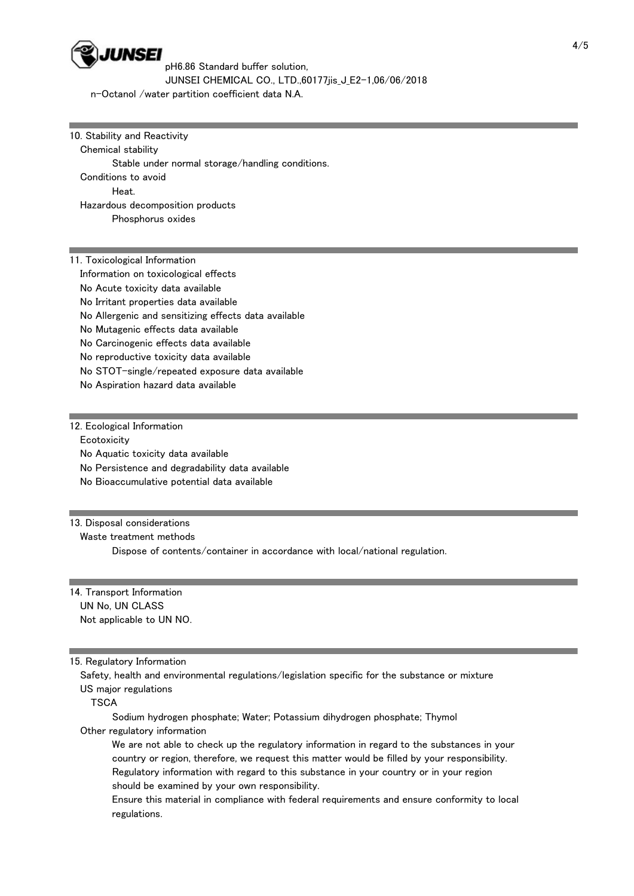

pH6.86 Standard buffer solution, JUNSEI CHEMICAL CO., LTD.,60177jis\_J\_E2-1,06/06/2018

n-Octanol /water partition coefficient data N.A.

10. Stability and Reactivity Chemical stability Stable under normal storage/handling conditions. Conditions to avoid Heat. Hazardous decomposition products Phosphorus oxides

11. Toxicological Information Information on toxicological effects No Acute toxicity data available No Irritant properties data available No Allergenic and sensitizing effects data available No Mutagenic effects data available No Carcinogenic effects data available No reproductive toxicity data available No STOT-single/repeated exposure data available No Aspiration hazard data available

12. Ecological Information **Ecotoxicity**  No Aquatic toxicity data available No Persistence and degradability data available No Bioaccumulative potential data available

### 13. Disposal considerations

Waste treatment methods

Dispose of contents/container in accordance with local/national regulation.

14. Transport Information UN No, UN CLASS Not applicable to UN NO.

#### 15. Regulatory Information

 Safety, health and environmental regulations/legislation specific for the substance or mixture US major regulations

**TSCA** 

 Sodium hydrogen phosphate; Water; Potassium dihydrogen phosphate; Thymol Other regulatory information

 We are not able to check up the regulatory information in regard to the substances in your country or region, therefore, we request this matter would be filled by your responsibility. Regulatory information with regard to this substance in your country or in your region should be examined by your own responsibility.

 Ensure this material in compliance with federal requirements and ensure conformity to local regulations.